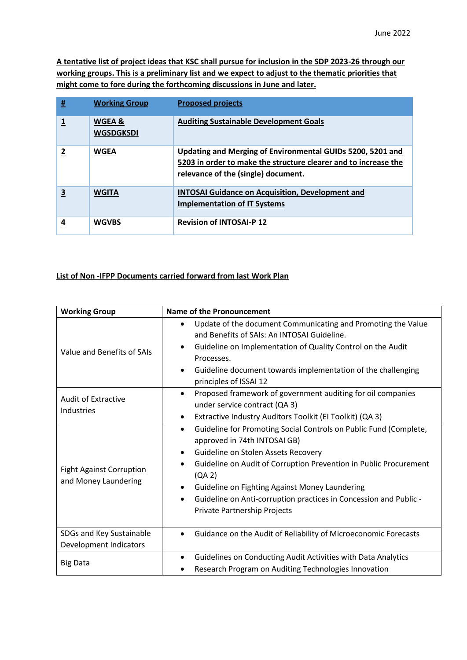**A tentative list of project ideas that KSC shall pursue for inclusion in the SDP 2023-26 through our working groups. This is a preliminary list and we expect to adjust to the thematic priorities that might come to fore during the forthcoming discussions in June and later.** 

| # | <b>Working Group</b>       | <b>Proposed projects</b>                                                                                                                                             |
|---|----------------------------|----------------------------------------------------------------------------------------------------------------------------------------------------------------------|
|   | WGEA &<br><b>WGSDGKSDI</b> | <b>Auditing Sustainable Development Goals</b>                                                                                                                        |
| 2 | <b>WGEA</b>                | Updating and Merging of Environmental GUIDs 5200, 5201 and<br>5203 in order to make the structure clearer and to increase the<br>relevance of the (single) document. |
| 3 | <b>WGITA</b>               | <b>INTOSAI Guidance on Acquisition, Development and</b><br><b>Implementation of IT Systems</b>                                                                       |
| 4 | <b>WGVBS</b>               | <b>Revision of INTOSAI-P 12</b>                                                                                                                                      |

## **List of Non -IFPP Documents carried forward from last Work Plan**

| <b>Working Group</b>                                    | <b>Name of the Pronouncement</b>                                                                                                                                                                                                                                                                                                                                                                                                        |
|---------------------------------------------------------|-----------------------------------------------------------------------------------------------------------------------------------------------------------------------------------------------------------------------------------------------------------------------------------------------------------------------------------------------------------------------------------------------------------------------------------------|
| Value and Benefits of SAIs                              | Update of the document Communicating and Promoting the Value<br>$\bullet$<br>and Benefits of SAIs: An INTOSAI Guideline.<br>Guideline on Implementation of Quality Control on the Audit<br>$\bullet$<br>Processes.<br>Guideline document towards implementation of the challenging<br>$\bullet$<br>principles of ISSAI 12                                                                                                               |
| <b>Audit of Extractive</b><br>Industries                | Proposed framework of government auditing for oil companies<br>$\bullet$<br>under service contract (QA 3)<br>Extractive Industry Auditors Toolkit (El Toolkit) (QA 3)<br>٠                                                                                                                                                                                                                                                              |
| <b>Fight Against Corruption</b><br>and Money Laundering | Guideline for Promoting Social Controls on Public Fund (Complete,<br>$\bullet$<br>approved in 74th INTOSAI GB)<br>Guideline on Stolen Assets Recovery<br>$\bullet$<br>Guideline on Audit of Corruption Prevention in Public Procurement<br>$\bullet$<br>(QA 2)<br>Guideline on Fighting Against Money Laundering<br>٠<br>Guideline on Anti-corruption practices in Concession and Public -<br>$\bullet$<br>Private Partnership Projects |
| SDGs and Key Sustainable<br>Development Indicators      | Guidance on the Audit of Reliability of Microeconomic Forecasts<br>$\bullet$                                                                                                                                                                                                                                                                                                                                                            |
| <b>Big Data</b>                                         | Guidelines on Conducting Audit Activities with Data Analytics<br>$\bullet$<br>Research Program on Auditing Technologies Innovation                                                                                                                                                                                                                                                                                                      |